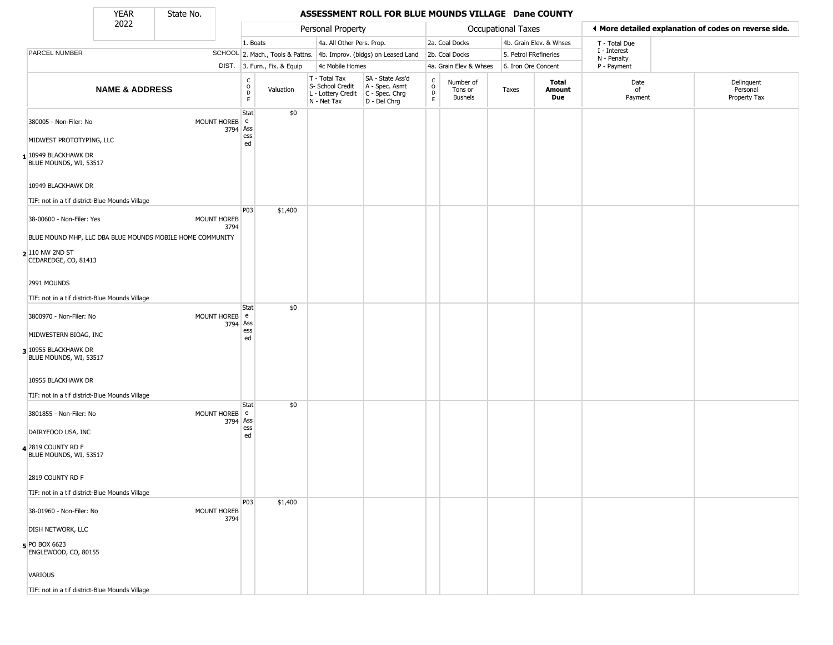YEAR State No.

#### YEAR **ASSESSMENT ROLL FOR BLUE MOUNDS VILLAGE Dane COUNTY**

|                                                                      | <br>2022                  | ------- |                            |                                                   |                              |                                                                        |                                                                      |                              |                                        |                       |                               |                               |                                                       |
|----------------------------------------------------------------------|---------------------------|---------|----------------------------|---------------------------------------------------|------------------------------|------------------------------------------------------------------------|----------------------------------------------------------------------|------------------------------|----------------------------------------|-----------------------|-------------------------------|-------------------------------|-------------------------------------------------------|
|                                                                      |                           |         |                            |                                                   |                              | Personal Property                                                      |                                                                      |                              |                                        | Occupational Taxes    |                               |                               | ◀ More detailed explanation of codes on reverse side. |
|                                                                      |                           |         |                            | 1. Boats                                          |                              | 4a. All Other Pers. Prop.                                              |                                                                      |                              | 2a. Coal Docks                         |                       | 4b. Grain Elev. & Whses       | T - Total Due<br>I - Interest |                                                       |
| PARCEL NUMBER                                                        |                           |         |                            |                                                   |                              |                                                                        | SCHOOL 2. Mach., Tools & Pattns. 4b. Improv. (bldgs) on Leased Land  |                              | 2b. Coal Docks                         | 5. Petrol FRefineries |                               | N - Penalty                   |                                                       |
|                                                                      |                           |         |                            |                                                   | DIST. 3. Furn., Fix. & Equip | 4c Mobile Homes                                                        |                                                                      |                              | 4a. Grain Elev & Whses                 | 6. Iron Ore Concent   |                               | P - Payment                   |                                                       |
|                                                                      | <b>NAME &amp; ADDRESS</b> |         |                            | C<br>$\begin{array}{c}\n0 \\ 0 \\ E\n\end{array}$ | Valuation                    | T - Total Tax<br>S- School Credit<br>L - Lottery Credit<br>N - Net Tax | SA - State Ass'd<br>A - Spec. Asmt<br>C - Spec. Chrg<br>D - Del Chrg | $\delta$<br>$\mathsf D$<br>E | Number of<br>Tons or<br><b>Bushels</b> | Taxes                 | Total<br>Amount<br><b>Due</b> | Date<br>of<br>Payment         | Delinquent<br>Personal<br>Property Tax                |
| 380005 - Non-Filer: No                                               |                           |         | MOUNT HOREB e<br>3794 Ass  | Stat                                              | \$0                          |                                                                        |                                                                      |                              |                                        |                       |                               |                               |                                                       |
| MIDWEST PROTOTYPING, LLC                                             |                           |         |                            | ess<br>ed                                         |                              |                                                                        |                                                                      |                              |                                        |                       |                               |                               |                                                       |
| 1 10949 BLACKHAWK DR<br>BLUE MOUNDS, WI, 53517                       |                           |         |                            |                                                   |                              |                                                                        |                                                                      |                              |                                        |                       |                               |                               |                                                       |
| 10949 BLACKHAWK DR<br>TIF: not in a tif district-Blue Mounds Village |                           |         |                            |                                                   |                              |                                                                        |                                                                      |                              |                                        |                       |                               |                               |                                                       |
|                                                                      |                           |         |                            | P03                                               | \$1,400                      |                                                                        |                                                                      |                              |                                        |                       |                               |                               |                                                       |
| 38-00600 - Non-Filer: Yes                                            |                           |         | <b>MOUNT HOREB</b><br>3794 |                                                   |                              |                                                                        |                                                                      |                              |                                        |                       |                               |                               |                                                       |
| BLUE MOUND MHP, LLC DBA BLUE MOUNDS MOBILE HOME COMMUNITY            |                           |         |                            |                                                   |                              |                                                                        |                                                                      |                              |                                        |                       |                               |                               |                                                       |
| $2 110$ NW 2ND ST<br>CEDAREDGE, CO, 81413                            |                           |         |                            |                                                   |                              |                                                                        |                                                                      |                              |                                        |                       |                               |                               |                                                       |
| 2991 MOUNDS                                                          |                           |         |                            |                                                   |                              |                                                                        |                                                                      |                              |                                        |                       |                               |                               |                                                       |
| TIF: not in a tif district-Blue Mounds Village                       |                           |         |                            |                                                   |                              |                                                                        |                                                                      |                              |                                        |                       |                               |                               |                                                       |
| 3800970 - Non-Filer: No                                              |                           |         | MOUNT HOREB e<br>3794 Ass  | Stat                                              | \$0                          |                                                                        |                                                                      |                              |                                        |                       |                               |                               |                                                       |
| MIDWESTERN BIOAG, INC                                                |                           |         |                            | ess<br>ed                                         |                              |                                                                        |                                                                      |                              |                                        |                       |                               |                               |                                                       |
| 3 10955 BLACKHAWK DR<br>BLUE MOUNDS, WI, 53517                       |                           |         |                            |                                                   |                              |                                                                        |                                                                      |                              |                                        |                       |                               |                               |                                                       |
| 10955 BLACKHAWK DR                                                   |                           |         |                            |                                                   |                              |                                                                        |                                                                      |                              |                                        |                       |                               |                               |                                                       |
| TIF: not in a tif district-Blue Mounds Village                       |                           |         |                            |                                                   |                              |                                                                        |                                                                      |                              |                                        |                       |                               |                               |                                                       |
| 3801855 - Non-Filer: No                                              |                           |         | MOUNT HOREB e<br>3794 Ass  | Stat                                              | \$0                          |                                                                        |                                                                      |                              |                                        |                       |                               |                               |                                                       |
| DAIRYFOOD USA, INC                                                   |                           |         |                            | ess<br>ed                                         |                              |                                                                        |                                                                      |                              |                                        |                       |                               |                               |                                                       |
| 4 2819 COUNTY RD F<br>BLUE MOUNDS, WI, 53517                         |                           |         |                            |                                                   |                              |                                                                        |                                                                      |                              |                                        |                       |                               |                               |                                                       |
| 2819 COUNTY RD F                                                     |                           |         |                            |                                                   |                              |                                                                        |                                                                      |                              |                                        |                       |                               |                               |                                                       |
| TIF: not in a tif district-Blue Mounds Village                       |                           |         |                            |                                                   |                              |                                                                        |                                                                      |                              |                                        |                       |                               |                               |                                                       |
| 38-01960 - Non-Filer: No                                             |                           |         | MOUNT HOREB<br>3794        | P03                                               | \$1,400                      |                                                                        |                                                                      |                              |                                        |                       |                               |                               |                                                       |
| <b>DISH NETWORK, LLC</b>                                             |                           |         |                            |                                                   |                              |                                                                        |                                                                      |                              |                                        |                       |                               |                               |                                                       |
| 5 PO BOX 6623<br>ENGLEWOOD, CO, 80155                                |                           |         |                            |                                                   |                              |                                                                        |                                                                      |                              |                                        |                       |                               |                               |                                                       |
| <b>VARIOUS</b>                                                       |                           |         |                            |                                                   |                              |                                                                        |                                                                      |                              |                                        |                       |                               |                               |                                                       |
| TIF: not in a tif district-Blue Mounds Village                       |                           |         |                            |                                                   |                              |                                                                        |                                                                      |                              |                                        |                       |                               |                               |                                                       |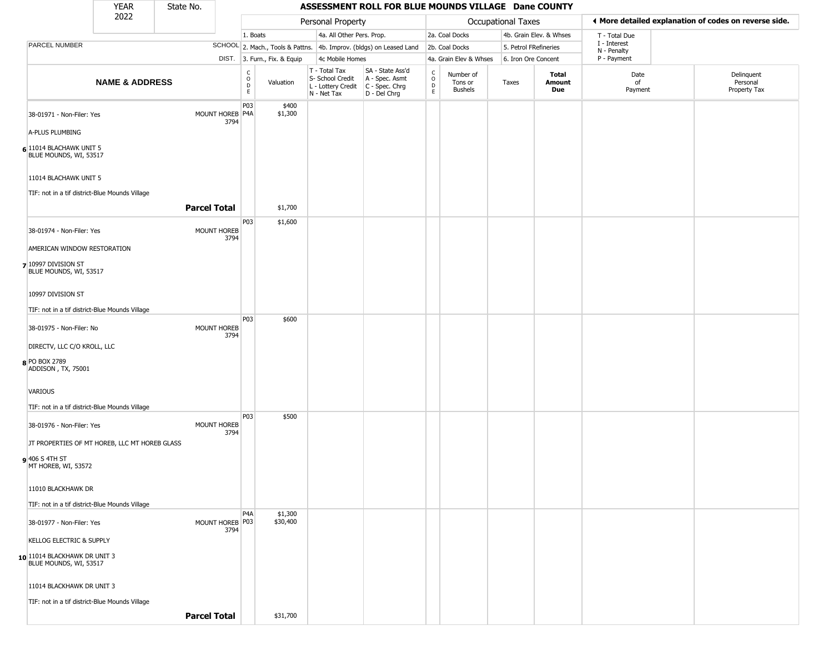|                                                        | <b>YEAR</b>               | State No.                  |                                                |                              |                                                                                         |                                                                     | ASSESSMENT ROLL FOR BLUE MOUNDS VILLAGE Dane COUNTY |                                        |                       |                         |                             |                                                       |  |
|--------------------------------------------------------|---------------------------|----------------------------|------------------------------------------------|------------------------------|-----------------------------------------------------------------------------------------|---------------------------------------------------------------------|-----------------------------------------------------|----------------------------------------|-----------------------|-------------------------|-----------------------------|-------------------------------------------------------|--|
|                                                        | 2022                      |                            |                                                |                              | Personal Property                                                                       |                                                                     |                                                     |                                        | Occupational Taxes    |                         |                             | ♦ More detailed explanation of codes on reverse side. |  |
|                                                        |                           |                            | 1. Boats                                       |                              | 4a. All Other Pers. Prop.                                                               |                                                                     |                                                     | 2a. Coal Docks                         |                       | 4b. Grain Elev. & Whses | T - Total Due               |                                                       |  |
| <b>PARCEL NUMBER</b>                                   |                           |                            |                                                |                              |                                                                                         | SCHOOL 2. Mach., Tools & Pattns. 4b. Improv. (bldgs) on Leased Land |                                                     | 2b. Coal Docks                         | 5. Petrol FRefineries |                         | I - Interest<br>N - Penalty |                                                       |  |
|                                                        |                           |                            |                                                | DIST. 3. Furn., Fix. & Equip | 4c Mobile Homes                                                                         |                                                                     |                                                     | 4a. Grain Elev & Whses                 | 6. Iron Ore Concent   |                         | P - Payment                 |                                                       |  |
|                                                        | <b>NAME &amp; ADDRESS</b> |                            | $\begin{matrix} 0 \\ 0 \\ D \end{matrix}$<br>E | Valuation                    | T - Total Tax<br>S- School Credit<br>L - Lottery Credit   C - Spec. Chrg<br>N - Net Tax | SA - State Ass'd<br>A - Spec. Asmt<br>D - Del Chrg                  | $\frac{c}{0}$<br>$\mathsf D$<br>E                   | Number of<br>Tons or<br><b>Bushels</b> | Taxes                 | Total<br>Amount<br>Due  | Date<br>of<br>Payment       | Delinquent<br>Personal<br>Property Tax                |  |
| 38-01971 - Non-Filer: Yes                              |                           | MOUNT HOREB P4A<br>3794    | P03                                            | \$400<br>\$1,300             |                                                                                         |                                                                     |                                                     |                                        |                       |                         |                             |                                                       |  |
| A-PLUS PLUMBING                                        |                           |                            |                                                |                              |                                                                                         |                                                                     |                                                     |                                        |                       |                         |                             |                                                       |  |
| 6 11014 BLACHAWK UNIT 5<br>BLUE MOUNDS, WI, 53517      |                           |                            |                                                |                              |                                                                                         |                                                                     |                                                     |                                        |                       |                         |                             |                                                       |  |
| 11014 BLACHAWK UNIT 5                                  |                           |                            |                                                |                              |                                                                                         |                                                                     |                                                     |                                        |                       |                         |                             |                                                       |  |
| TIF: not in a tif district-Blue Mounds Village         |                           | <b>Parcel Total</b>        |                                                | \$1,700                      |                                                                                         |                                                                     |                                                     |                                        |                       |                         |                             |                                                       |  |
| 38-01974 - Non-Filer: Yes                              |                           | MOUNT HOREB<br>3794        | P03                                            | \$1,600                      |                                                                                         |                                                                     |                                                     |                                        |                       |                         |                             |                                                       |  |
| AMERICAN WINDOW RESTORATION                            |                           |                            |                                                |                              |                                                                                         |                                                                     |                                                     |                                        |                       |                         |                             |                                                       |  |
| 7 10997 DIVISION ST<br>BLUE MOUNDS, WI, 53517          |                           |                            |                                                |                              |                                                                                         |                                                                     |                                                     |                                        |                       |                         |                             |                                                       |  |
| 10997 DIVISION ST                                      |                           |                            |                                                |                              |                                                                                         |                                                                     |                                                     |                                        |                       |                         |                             |                                                       |  |
| TIF: not in a tif district-Blue Mounds Village         |                           |                            |                                                |                              |                                                                                         |                                                                     |                                                     |                                        |                       |                         |                             |                                                       |  |
| 38-01975 - Non-Filer: No                               |                           | <b>MOUNT HOREB</b><br>3794 | P03                                            | \$600                        |                                                                                         |                                                                     |                                                     |                                        |                       |                         |                             |                                                       |  |
| DIRECTV, LLC C/O KROLL, LLC                            |                           |                            |                                                |                              |                                                                                         |                                                                     |                                                     |                                        |                       |                         |                             |                                                       |  |
| 8 PO BOX 2789<br>ADDISON, TX, 75001                    |                           |                            |                                                |                              |                                                                                         |                                                                     |                                                     |                                        |                       |                         |                             |                                                       |  |
| VARIOUS                                                |                           |                            |                                                |                              |                                                                                         |                                                                     |                                                     |                                        |                       |                         |                             |                                                       |  |
| TIF: not in a tif district-Blue Mounds Village         |                           |                            |                                                |                              |                                                                                         |                                                                     |                                                     |                                        |                       |                         |                             |                                                       |  |
| 38-01976 - Non-Filer: Yes                              |                           | MOUNT HOREB<br>3794        | P03                                            | \$500                        |                                                                                         |                                                                     |                                                     |                                        |                       |                         |                             |                                                       |  |
| JT PROPERTIES OF MT HOREB, LLC MT HOREB GLASS          |                           |                            |                                                |                              |                                                                                         |                                                                     |                                                     |                                        |                       |                         |                             |                                                       |  |
| 9 406 S 4TH ST<br>MT HOREB, WI, 53572                  |                           |                            |                                                |                              |                                                                                         |                                                                     |                                                     |                                        |                       |                         |                             |                                                       |  |
| 11010 BLACKHAWK DR                                     |                           |                            |                                                |                              |                                                                                         |                                                                     |                                                     |                                        |                       |                         |                             |                                                       |  |
| TIF: not in a tif district-Blue Mounds Village         |                           |                            |                                                |                              |                                                                                         |                                                                     |                                                     |                                        |                       |                         |                             |                                                       |  |
| 38-01977 - Non-Filer: Yes                              |                           | MOUNT HOREB P03<br>3794    | P <sub>4</sub> A                               | \$1,300<br>\$30,400          |                                                                                         |                                                                     |                                                     |                                        |                       |                         |                             |                                                       |  |
| <b>KELLOG ELECTRIC &amp; SUPPLY</b>                    |                           |                            |                                                |                              |                                                                                         |                                                                     |                                                     |                                        |                       |                         |                             |                                                       |  |
| 10 11014 BLACKHAWK DR UNIT 3<br>BLUE MOUNDS, WI, 53517 |                           |                            |                                                |                              |                                                                                         |                                                                     |                                                     |                                        |                       |                         |                             |                                                       |  |
| 11014 BLACKHAWK DR UNIT 3                              |                           |                            |                                                |                              |                                                                                         |                                                                     |                                                     |                                        |                       |                         |                             |                                                       |  |
| TIF: not in a tif district-Blue Mounds Village         |                           |                            |                                                |                              |                                                                                         |                                                                     |                                                     |                                        |                       |                         |                             |                                                       |  |
|                                                        |                           | <b>Parcel Total</b>        |                                                | \$31,700                     |                                                                                         |                                                                     |                                                     |                                        |                       |                         |                             |                                                       |  |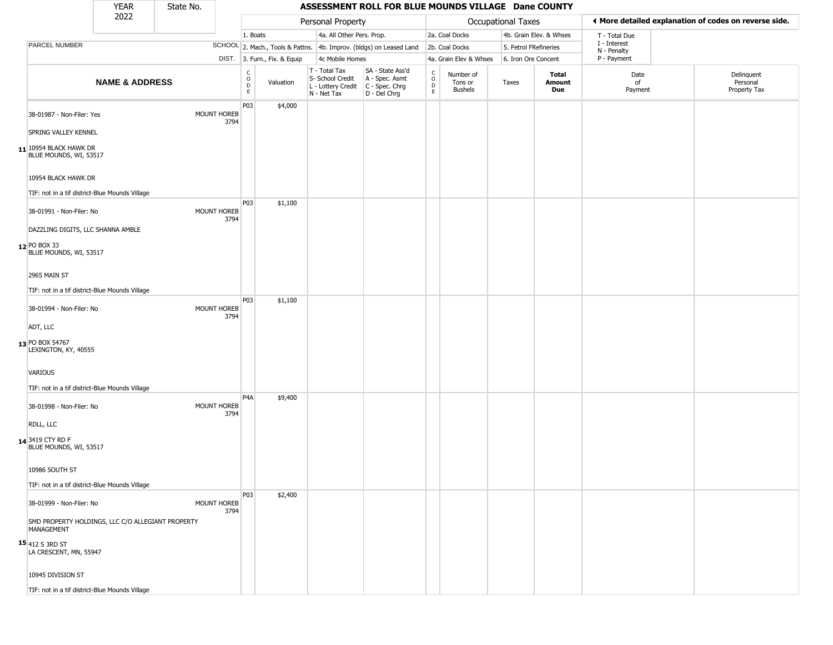|                                                                                                                | <b>YEAR</b>               | State No.                  |                                   |                              |                                                                                         | ASSESSMENT ROLL FOR BLUE MOUNDS VILLAGE Dane COUNTY                 |                                    |                                        |                       |                         |                             |                                                       |  |
|----------------------------------------------------------------------------------------------------------------|---------------------------|----------------------------|-----------------------------------|------------------------------|-----------------------------------------------------------------------------------------|---------------------------------------------------------------------|------------------------------------|----------------------------------------|-----------------------|-------------------------|-----------------------------|-------------------------------------------------------|--|
|                                                                                                                | 2022                      |                            |                                   |                              | Personal Property                                                                       |                                                                     |                                    |                                        | Occupational Taxes    |                         |                             | ♦ More detailed explanation of codes on reverse side. |  |
|                                                                                                                |                           |                            | 1. Boats                          |                              | 4a. All Other Pers. Prop.                                                               |                                                                     |                                    | 2a. Coal Docks                         |                       | 4b. Grain Elev. & Whses | T - Total Due               |                                                       |  |
| PARCEL NUMBER                                                                                                  |                           |                            |                                   |                              |                                                                                         | SCHOOL 2. Mach., Tools & Pattns. 4b. Improv. (bldgs) on Leased Land |                                    | 2b. Coal Docks                         | 5. Petrol FRefineries |                         | I - Interest<br>N - Penalty |                                                       |  |
|                                                                                                                |                           |                            |                                   | DIST. 3. Furn., Fix. & Equip | 4c Mobile Homes                                                                         |                                                                     |                                    | 4a. Grain Elev & Whses                 | 6. Iron Ore Concent   |                         | P - Payment                 |                                                       |  |
|                                                                                                                | <b>NAME &amp; ADDRESS</b> |                            | $\frac{c}{0}$<br>$\mathsf D$<br>E | Valuation                    | T - Total Tax<br>S- School Credit<br>L - Lottery Credit   C - Spec. Chrg<br>N - Net Tax | SA - State Ass'd<br>A - Spec. Asmt<br>D - Del Chrg                  | $\int_{0}^{c}$<br>D<br>$\mathsf E$ | Number of<br>Tons or<br><b>Bushels</b> | Taxes                 | Total<br>Amount<br>Due  | Date<br>of<br>Payment       | Delinquent<br>Personal<br>Property Tax                |  |
| 38-01987 - Non-Filer: Yes<br>SPRING VALLEY KENNEL                                                              |                           | MOUNT HOREB<br>3794        | P03                               | \$4,000                      |                                                                                         |                                                                     |                                    |                                        |                       |                         |                             |                                                       |  |
| $11$ <sup>10954</sup> BLACK HAWK DR<br>BLUE MOUNDS, WI, 53517                                                  |                           |                            |                                   |                              |                                                                                         |                                                                     |                                    |                                        |                       |                         |                             |                                                       |  |
| 10954 BLACK HAWK DR                                                                                            |                           |                            |                                   |                              |                                                                                         |                                                                     |                                    |                                        |                       |                         |                             |                                                       |  |
| TIF: not in a tif district-Blue Mounds Village<br>38-01991 - Non-Filer: No                                     |                           | MOUNT HOREB<br>3794        | <b>P03</b>                        | \$1,100                      |                                                                                         |                                                                     |                                    |                                        |                       |                         |                             |                                                       |  |
| DAZZLING DIGITS, LLC SHANNA AMBLE<br>12 PO BOX 33<br>BLUE MOUNDS, WI, 53517                                    |                           |                            |                                   |                              |                                                                                         |                                                                     |                                    |                                        |                       |                         |                             |                                                       |  |
| 2965 MAIN ST                                                                                                   |                           |                            |                                   |                              |                                                                                         |                                                                     |                                    |                                        |                       |                         |                             |                                                       |  |
| TIF: not in a tif district-Blue Mounds Village                                                                 |                           |                            |                                   |                              |                                                                                         |                                                                     |                                    |                                        |                       |                         |                             |                                                       |  |
| 38-01994 - Non-Filer: No                                                                                       |                           | <b>MOUNT HOREB</b><br>3794 | P03                               | \$1,100                      |                                                                                         |                                                                     |                                    |                                        |                       |                         |                             |                                                       |  |
| ADT, LLC                                                                                                       |                           |                            |                                   |                              |                                                                                         |                                                                     |                                    |                                        |                       |                         |                             |                                                       |  |
| 13 PO BOX 54767<br>LEXINGTON, KY, 40555                                                                        |                           |                            |                                   |                              |                                                                                         |                                                                     |                                    |                                        |                       |                         |                             |                                                       |  |
| VARIOUS<br>TIF: not in a tif district-Blue Mounds Village                                                      |                           |                            |                                   |                              |                                                                                         |                                                                     |                                    |                                        |                       |                         |                             |                                                       |  |
| 38-01998 - Non-Filer: No                                                                                       |                           | <b>MOUNT HOREB</b><br>3794 | P <sub>4</sub> A                  | \$9,400                      |                                                                                         |                                                                     |                                    |                                        |                       |                         |                             |                                                       |  |
| RDLL, LLC                                                                                                      |                           |                            |                                   |                              |                                                                                         |                                                                     |                                    |                                        |                       |                         |                             |                                                       |  |
| 14 3419 CTY RD F<br>BLUE MOUNDS, WI, 53517                                                                     |                           |                            |                                   |                              |                                                                                         |                                                                     |                                    |                                        |                       |                         |                             |                                                       |  |
| 10986 SOUTH ST                                                                                                 |                           |                            |                                   |                              |                                                                                         |                                                                     |                                    |                                        |                       |                         |                             |                                                       |  |
| TIF: not in a tif district-Blue Mounds Village                                                                 |                           |                            | P03                               | \$2,400                      |                                                                                         |                                                                     |                                    |                                        |                       |                         |                             |                                                       |  |
| 38-01999 - Non-Filer: No                                                                                       |                           | MOUNT HOREB<br>3794        |                                   |                              |                                                                                         |                                                                     |                                    |                                        |                       |                         |                             |                                                       |  |
| SMD PROPERTY HOLDINGS, LLC C/O ALLEGIANT PROPERTY<br>MANAGEMENT<br>$15$ 412 S 3RD ST<br>LA CRESCENT, MN, 55947 |                           |                            |                                   |                              |                                                                                         |                                                                     |                                    |                                        |                       |                         |                             |                                                       |  |
| 10945 DIVISION ST                                                                                              |                           |                            |                                   |                              |                                                                                         |                                                                     |                                    |                                        |                       |                         |                             |                                                       |  |
| TIF: not in a tif district-Blue Mounds Village                                                                 |                           |                            |                                   |                              |                                                                                         |                                                                     |                                    |                                        |                       |                         |                             |                                                       |  |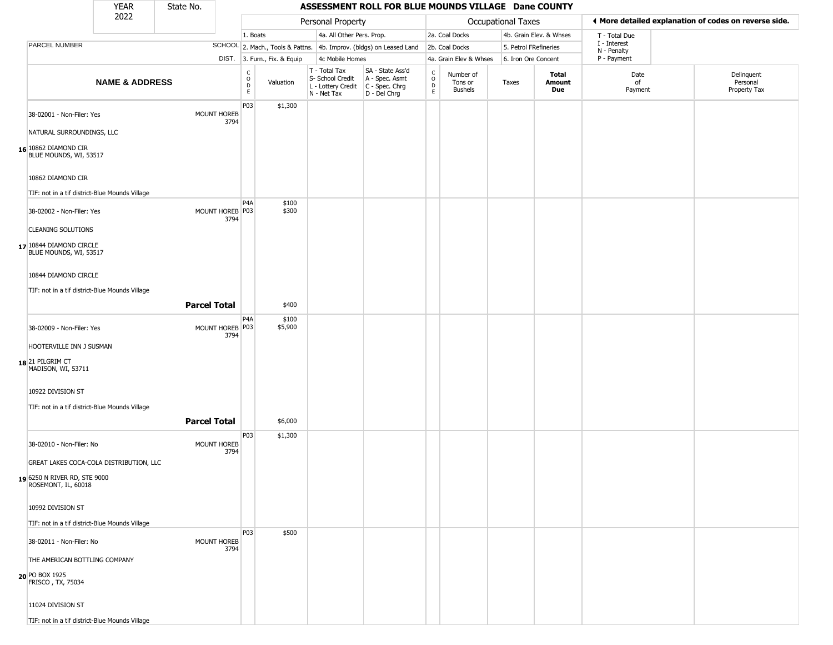|                                                                             | <b>YEAR</b>               | State No.           |                            |                                             |                              |                                                                                         | ASSESSMENT ROLL FOR BLUE MOUNDS VILLAGE Dane COUNTY                 |                                   |                                        |                       |                         |                             |                                                       |
|-----------------------------------------------------------------------------|---------------------------|---------------------|----------------------------|---------------------------------------------|------------------------------|-----------------------------------------------------------------------------------------|---------------------------------------------------------------------|-----------------------------------|----------------------------------------|-----------------------|-------------------------|-----------------------------|-------------------------------------------------------|
|                                                                             | 2022                      |                     |                            |                                             |                              | Personal Property                                                                       |                                                                     |                                   |                                        | Occupational Taxes    |                         |                             | ◀ More detailed explanation of codes on reverse side. |
|                                                                             |                           |                     |                            | 1. Boats                                    |                              | 4a. All Other Pers. Prop.                                                               |                                                                     |                                   | 2a. Coal Docks                         |                       | 4b. Grain Elev. & Whses | T - Total Due               |                                                       |
| PARCEL NUMBER                                                               |                           |                     |                            |                                             |                              |                                                                                         | SCHOOL 2. Mach., Tools & Pattns. 4b. Improv. (bldgs) on Leased Land |                                   | 2b. Coal Docks                         | 5. Petrol FRefineries |                         | I - Interest<br>N - Penalty |                                                       |
|                                                                             |                           |                     |                            |                                             | DIST. 3. Furn., Fix. & Equip | 4c Mobile Homes                                                                         |                                                                     |                                   | 4a. Grain Elev & Whses                 | 6. Iron Ore Concent   |                         | P - Payment                 |                                                       |
|                                                                             | <b>NAME &amp; ADDRESS</b> |                     |                            | $\frac{c}{0}$<br>$\mathsf D$<br>$\mathsf E$ | Valuation                    | T - Total Tax<br>S- School Credit<br>L - Lottery Credit   C - Spec. Chrg<br>N - Net Tax | SA - State Ass'd<br>A - Spec. Asmt<br>D - Del Chrg                  | $\frac{c}{0}$<br>$\mathsf D$<br>E | Number of<br>Tons or<br><b>Bushels</b> | Taxes                 | Total<br>Amount<br>Due  | Date<br>of<br>Payment       | Delinquent<br>Personal<br>Property Tax                |
| 38-02001 - Non-Filer: Yes                                                   |                           |                     | <b>MOUNT HOREB</b><br>3794 | P03                                         | \$1,300                      |                                                                                         |                                                                     |                                   |                                        |                       |                         |                             |                                                       |
| NATURAL SURROUNDINGS, LLC<br>16 10862 DIAMOND CIR<br>BLUE MOUNDS, WI, 53517 |                           |                     |                            |                                             |                              |                                                                                         |                                                                     |                                   |                                        |                       |                         |                             |                                                       |
| 10862 DIAMOND CIR                                                           |                           |                     |                            |                                             |                              |                                                                                         |                                                                     |                                   |                                        |                       |                         |                             |                                                       |
| TIF: not in a tif district-Blue Mounds Village                              |                           |                     |                            |                                             |                              |                                                                                         |                                                                     |                                   |                                        |                       |                         |                             |                                                       |
| 38-02002 - Non-Filer: Yes                                                   |                           |                     | MOUNT HOREB P03<br>3794    | P4A                                         | \$100<br>\$300               |                                                                                         |                                                                     |                                   |                                        |                       |                         |                             |                                                       |
| <b>CLEANING SOLUTIONS</b>                                                   |                           |                     |                            |                                             |                              |                                                                                         |                                                                     |                                   |                                        |                       |                         |                             |                                                       |
| 17 10844 DIAMOND CIRCLE<br>BLUE MOUNDS, WI, 53517                           |                           |                     |                            |                                             |                              |                                                                                         |                                                                     |                                   |                                        |                       |                         |                             |                                                       |
| 10844 DIAMOND CIRCLE                                                        |                           |                     |                            |                                             |                              |                                                                                         |                                                                     |                                   |                                        |                       |                         |                             |                                                       |
| TIF: not in a tif district-Blue Mounds Village                              |                           | <b>Parcel Total</b> |                            |                                             | \$400                        |                                                                                         |                                                                     |                                   |                                        |                       |                         |                             |                                                       |
| 38-02009 - Non-Filer: Yes                                                   |                           |                     | MOUNT HOREB P03<br>3794    | P4A                                         | \$100<br>\$5,900             |                                                                                         |                                                                     |                                   |                                        |                       |                         |                             |                                                       |
| HOOTERVILLE INN J SUSMAN                                                    |                           |                     |                            |                                             |                              |                                                                                         |                                                                     |                                   |                                        |                       |                         |                             |                                                       |
| 18 21 PILGRIM CT<br>MADISON, WI, 53711                                      |                           |                     |                            |                                             |                              |                                                                                         |                                                                     |                                   |                                        |                       |                         |                             |                                                       |
| 10922 DIVISION ST                                                           |                           |                     |                            |                                             |                              |                                                                                         |                                                                     |                                   |                                        |                       |                         |                             |                                                       |
| TIF: not in a tif district-Blue Mounds Village                              |                           |                     |                            |                                             |                              |                                                                                         |                                                                     |                                   |                                        |                       |                         |                             |                                                       |
|                                                                             |                           | <b>Parcel Total</b> |                            |                                             | \$6,000                      |                                                                                         |                                                                     |                                   |                                        |                       |                         |                             |                                                       |
| 38-02010 - Non-Filer: No                                                    |                           |                     | MOUNT HOREB<br>3794        | P03                                         | \$1,300                      |                                                                                         |                                                                     |                                   |                                        |                       |                         |                             |                                                       |
| GREAT LAKES COCA-COLA DISTRIBUTION, LLC                                     |                           |                     |                            |                                             |                              |                                                                                         |                                                                     |                                   |                                        |                       |                         |                             |                                                       |
| 19 6250 N RIVER RD, STE 9000<br>ROSEMONT, IL, 60018                         |                           |                     |                            |                                             |                              |                                                                                         |                                                                     |                                   |                                        |                       |                         |                             |                                                       |
| 10992 DIVISION ST                                                           |                           |                     |                            |                                             |                              |                                                                                         |                                                                     |                                   |                                        |                       |                         |                             |                                                       |
| TIF: not in a tif district-Blue Mounds Village                              |                           |                     |                            |                                             |                              |                                                                                         |                                                                     |                                   |                                        |                       |                         |                             |                                                       |
| 38-02011 - Non-Filer: No                                                    |                           |                     | MOUNT HOREB<br>3794        | P03                                         | \$500                        |                                                                                         |                                                                     |                                   |                                        |                       |                         |                             |                                                       |
| THE AMERICAN BOTTLING COMPANY<br>20 PO BOX 1925<br>FRISCO, TX, 75034        |                           |                     |                            |                                             |                              |                                                                                         |                                                                     |                                   |                                        |                       |                         |                             |                                                       |
| 11024 DIVISION ST                                                           |                           |                     |                            |                                             |                              |                                                                                         |                                                                     |                                   |                                        |                       |                         |                             |                                                       |
| TIF: not in a tif district-Blue Mounds Village                              |                           |                     |                            |                                             |                              |                                                                                         |                                                                     |                                   |                                        |                       |                         |                             |                                                       |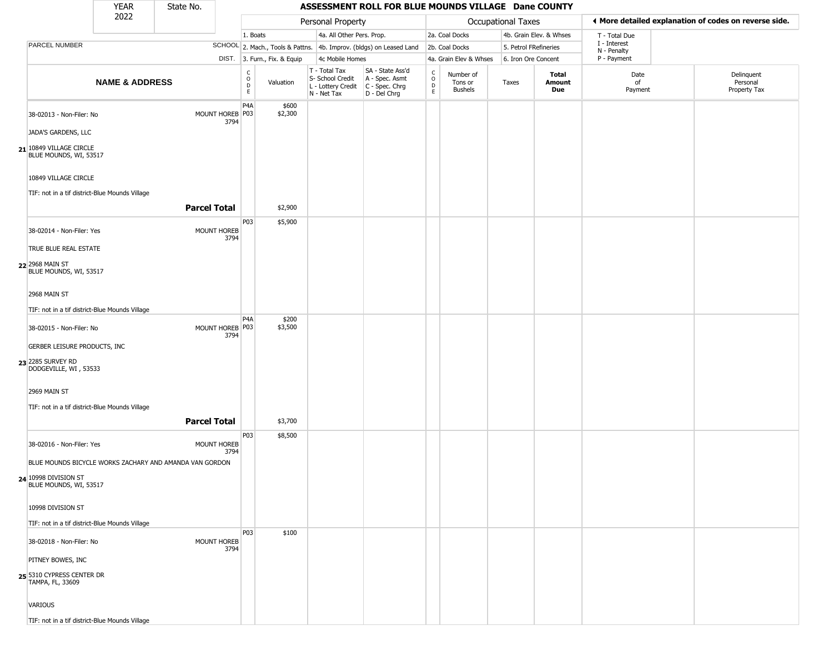| <b>YEAR</b><br>State No.<br>ASSESSMENT ROLL FOR BLUE MOUNDS VILLAGE Dane COUNTY |                                                 |                                                |                                                         |                            |                                             |                              |                                                  |                                                                                             |                                              |                                        |                       |                         |                             |                                                       |
|---------------------------------------------------------------------------------|-------------------------------------------------|------------------------------------------------|---------------------------------------------------------|----------------------------|---------------------------------------------|------------------------------|--------------------------------------------------|---------------------------------------------------------------------------------------------|----------------------------------------------|----------------------------------------|-----------------------|-------------------------|-----------------------------|-------------------------------------------------------|
|                                                                                 |                                                 | 2022                                           |                                                         |                            |                                             |                              | Personal Property                                |                                                                                             |                                              |                                        | Occupational Taxes    |                         |                             | I More detailed explanation of codes on reverse side. |
|                                                                                 |                                                 |                                                |                                                         |                            | 1. Boats                                    |                              |                                                  | 4a. All Other Pers. Prop.                                                                   |                                              | 2a. Coal Docks                         |                       | 4b. Grain Elev. & Whses | T - Total Due               |                                                       |
| <b>PARCEL NUMBER</b>                                                            |                                                 |                                                |                                                         |                            |                                             |                              |                                                  | SCHOOL 2. Mach., Tools & Pattns. 4b. Improv. (bldgs) on Leased Land                         |                                              | 2b. Coal Docks                         | 5. Petrol FRefineries |                         | I - Interest<br>N - Penalty |                                                       |
|                                                                                 |                                                 |                                                |                                                         |                            |                                             | DIST. 3. Furn., Fix. & Equip | 4c Mobile Homes                                  |                                                                                             |                                              | 4a. Grain Elev & Whses                 | 6. Iron Ore Concent   |                         | P - Payment                 |                                                       |
|                                                                                 |                                                 | <b>NAME &amp; ADDRESS</b>                      |                                                         |                            | $\frac{c}{0}$<br>$\mathsf D$<br>$\mathsf E$ | Valuation                    | T - Total Tax<br>S- School Credit<br>N - Net Tax | SA - State Ass'd<br>A - Spec. Asmt<br>$L$ - Lottery Credit $C$ - Spec. Chrg<br>D - Del Chrg | C<br>$\mathsf{O}\xspace$<br>D<br>$\mathsf E$ | Number of<br>Tons or<br><b>Bushels</b> | Taxes                 | Total<br>Amount<br>Due  | Date<br>of<br>Payment       | Delinquent<br>Personal<br>Property Tax                |
|                                                                                 | 38-02013 - Non-Filer: No<br>JADA'S GARDENS, LLC |                                                |                                                         | MOUNT HOREB P03<br>3794    | P4A                                         | \$600<br>\$2,300             |                                                  |                                                                                             |                                              |                                        |                       |                         |                             |                                                       |
| 21 10849 VILLAGE CIRCLE                                                         | BLUE MOUNDS, WI, 53517                          |                                                |                                                         |                            |                                             |                              |                                                  |                                                                                             |                                              |                                        |                       |                         |                             |                                                       |
|                                                                                 | 10849 VILLAGE CIRCLE                            | TIF: not in a tif district-Blue Mounds Village | <b>Parcel Total</b>                                     |                            |                                             |                              |                                                  |                                                                                             |                                              |                                        |                       |                         |                             |                                                       |
|                                                                                 |                                                 |                                                |                                                         |                            |                                             | \$2,900                      |                                                  |                                                                                             |                                              |                                        |                       |                         |                             |                                                       |
|                                                                                 | 38-02014 - Non-Filer: Yes                       |                                                |                                                         | MOUNT HOREB<br>3794        | P03                                         | \$5,900                      |                                                  |                                                                                             |                                              |                                        |                       |                         |                             |                                                       |
| 22 2968 MAIN ST                                                                 | TRUE BLUE REAL ESTATE<br>BLUE MOUNDS, WI, 53517 |                                                |                                                         |                            |                                             |                              |                                                  |                                                                                             |                                              |                                        |                       |                         |                             |                                                       |
| 2968 MAIN ST                                                                    |                                                 |                                                |                                                         |                            |                                             |                              |                                                  |                                                                                             |                                              |                                        |                       |                         |                             |                                                       |
|                                                                                 |                                                 | TIF: not in a tif district-Blue Mounds Village |                                                         |                            |                                             |                              |                                                  |                                                                                             |                                              |                                        |                       |                         |                             |                                                       |
|                                                                                 | 38-02015 - Non-Filer: No                        |                                                |                                                         | MOUNT HOREB P03<br>3794    | P <sub>4</sub> A                            | \$200<br>\$3,500             |                                                  |                                                                                             |                                              |                                        |                       |                         |                             |                                                       |
|                                                                                 | GERBER LEISURE PRODUCTS, INC                    |                                                |                                                         |                            |                                             |                              |                                                  |                                                                                             |                                              |                                        |                       |                         |                             |                                                       |
| 23 2285 SURVEY RD                                                               | DODGEVILLE, WI, 53533                           |                                                |                                                         |                            |                                             |                              |                                                  |                                                                                             |                                              |                                        |                       |                         |                             |                                                       |
| 2969 MAIN ST                                                                    |                                                 |                                                |                                                         |                            |                                             |                              |                                                  |                                                                                             |                                              |                                        |                       |                         |                             |                                                       |
|                                                                                 |                                                 | TIF: not in a tif district-Blue Mounds Village |                                                         |                            |                                             |                              |                                                  |                                                                                             |                                              |                                        |                       |                         |                             |                                                       |
|                                                                                 |                                                 |                                                | <b>Parcel Total</b>                                     |                            |                                             | \$3,700                      |                                                  |                                                                                             |                                              |                                        |                       |                         |                             |                                                       |
|                                                                                 | 38-02016 - Non-Filer: Yes                       |                                                |                                                         | <b>MOUNT HOREB</b><br>3794 | P03                                         | \$8,500                      |                                                  |                                                                                             |                                              |                                        |                       |                         |                             |                                                       |
|                                                                                 |                                                 |                                                | BLUE MOUNDS BICYCLE WORKS ZACHARY AND AMANDA VAN GORDON |                            |                                             |                              |                                                  |                                                                                             |                                              |                                        |                       |                         |                             |                                                       |
| 24 10998 DIVISION ST                                                            | BLUE MOUNDS, WI, 53517                          |                                                |                                                         |                            |                                             |                              |                                                  |                                                                                             |                                              |                                        |                       |                         |                             |                                                       |
| 10998 DIVISION ST                                                               |                                                 |                                                |                                                         |                            |                                             |                              |                                                  |                                                                                             |                                              |                                        |                       |                         |                             |                                                       |
|                                                                                 |                                                 | TIF: not in a tif district-Blue Mounds Village |                                                         |                            |                                             |                              |                                                  |                                                                                             |                                              |                                        |                       |                         |                             |                                                       |
|                                                                                 | 38-02018 - Non-Filer: No                        |                                                |                                                         | <b>MOUNT HOREB</b><br>3794 | P03                                         | \$100                        |                                                  |                                                                                             |                                              |                                        |                       |                         |                             |                                                       |
| PITNEY BOWES, INC                                                               |                                                 |                                                |                                                         |                            |                                             |                              |                                                  |                                                                                             |                                              |                                        |                       |                         |                             |                                                       |
| 25 5310 CYPRESS CENTER DR<br>TAMPA, FL, 33609                                   |                                                 |                                                |                                                         |                            |                                             |                              |                                                  |                                                                                             |                                              |                                        |                       |                         |                             |                                                       |
| <b>VARIOUS</b>                                                                  |                                                 |                                                |                                                         |                            |                                             |                              |                                                  |                                                                                             |                                              |                                        |                       |                         |                             |                                                       |
|                                                                                 |                                                 | TIF: not in a tif district-Blue Mounds Village |                                                         |                            |                                             |                              |                                                  |                                                                                             |                                              |                                        |                       |                         |                             |                                                       |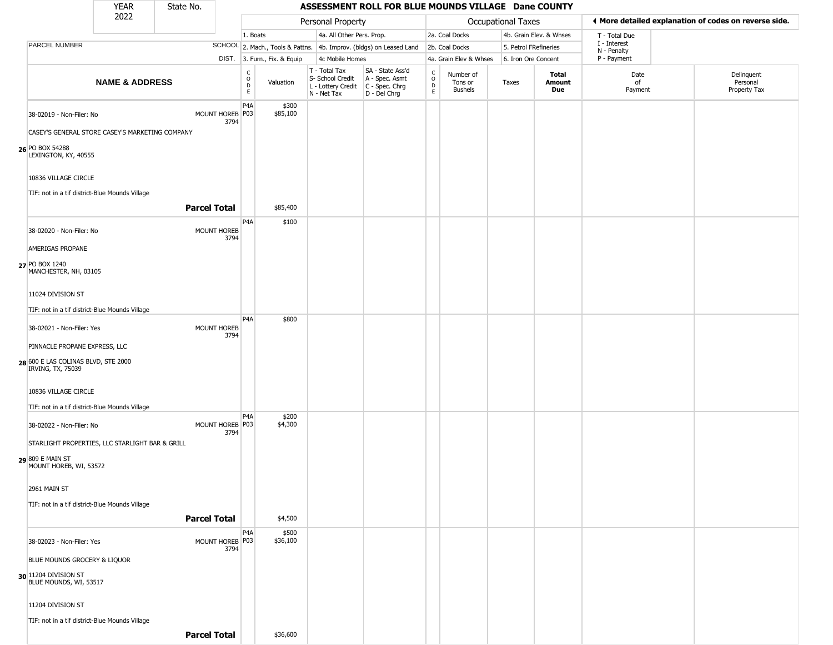|                                                          | YEAR                      | State No.           |                         |                                                  |                              |                                                                                         | ASSESSMENT ROLL FOR BLUE MOUNDS VILLAGE Dane COUNTY                 |                                   |                                 |                       |                         |                             |                                                       |
|----------------------------------------------------------|---------------------------|---------------------|-------------------------|--------------------------------------------------|------------------------------|-----------------------------------------------------------------------------------------|---------------------------------------------------------------------|-----------------------------------|---------------------------------|-----------------------|-------------------------|-----------------------------|-------------------------------------------------------|
|                                                          | 2022                      |                     |                         |                                                  |                              | Personal Property                                                                       |                                                                     |                                   |                                 | Occupational Taxes    |                         |                             | ♦ More detailed explanation of codes on reverse side. |
|                                                          |                           |                     |                         | 1. Boats                                         |                              | 4a. All Other Pers. Prop.                                                               |                                                                     |                                   | 2a. Coal Docks                  |                       | 4b. Grain Elev. & Whses | T - Total Due               |                                                       |
| <b>PARCEL NUMBER</b>                                     |                           |                     |                         |                                                  |                              |                                                                                         | SCHOOL 2. Mach., Tools & Pattns. 4b. Improv. (bldgs) on Leased Land |                                   | 2b. Coal Docks                  | 5. Petrol FRefineries |                         | I - Interest<br>N - Penalty |                                                       |
|                                                          |                           |                     |                         |                                                  | DIST. 3. Furn., Fix. & Equip | 4c Mobile Homes                                                                         |                                                                     |                                   | 4a. Grain Elev & Whses          | 6. Iron Ore Concent   |                         | P - Payment                 |                                                       |
|                                                          | <b>NAME &amp; ADDRESS</b> |                     |                         | $_{\rm o}^{\rm c}$<br>$\mathsf D$<br>$\mathsf E$ | Valuation                    | T - Total Tax<br>S- School Credit<br>L - Lottery Credit   C - Spec. Chrg<br>N - Net Tax | SA - State Ass'd<br>A - Spec. Asmt<br>D - Del Chrg                  | $\frac{c}{0}$<br>$\mathsf D$<br>E | Number of<br>Tons or<br>Bushels | Taxes                 | Total<br>Amount<br>Due  | Date<br>of<br>Payment       | Delinquent<br>Personal<br>Property Tax                |
| 38-02019 - Non-Filer: No                                 |                           |                     | MOUNT HOREB P03<br>3794 | P <sub>4</sub> A                                 | \$300<br>\$85,100            |                                                                                         |                                                                     |                                   |                                 |                       |                         |                             |                                                       |
| CASEY'S GENERAL STORE CASEY'S MARKETING COMPANY          |                           |                     |                         |                                                  |                              |                                                                                         |                                                                     |                                   |                                 |                       |                         |                             |                                                       |
| 26 PO BOX 54288<br>LEXINGTON, KY, 40555                  |                           |                     |                         |                                                  |                              |                                                                                         |                                                                     |                                   |                                 |                       |                         |                             |                                                       |
| 10836 VILLAGE CIRCLE                                     |                           |                     |                         |                                                  |                              |                                                                                         |                                                                     |                                   |                                 |                       |                         |                             |                                                       |
| TIF: not in a tif district-Blue Mounds Village           |                           | <b>Parcel Total</b> |                         |                                                  | \$85,400                     |                                                                                         |                                                                     |                                   |                                 |                       |                         |                             |                                                       |
| 38-02020 - Non-Filer: No                                 |                           |                     | MOUNT HOREB<br>3794     | P4A                                              | \$100                        |                                                                                         |                                                                     |                                   |                                 |                       |                         |                             |                                                       |
| AMERIGAS PROPANE                                         |                           |                     |                         |                                                  |                              |                                                                                         |                                                                     |                                   |                                 |                       |                         |                             |                                                       |
| 27 PO BOX 1240<br>MANCHESTER, NH, 03105                  |                           |                     |                         |                                                  |                              |                                                                                         |                                                                     |                                   |                                 |                       |                         |                             |                                                       |
| 11024 DIVISION ST                                        |                           |                     |                         |                                                  |                              |                                                                                         |                                                                     |                                   |                                 |                       |                         |                             |                                                       |
| TIF: not in a tif district-Blue Mounds Village           |                           |                     |                         |                                                  |                              |                                                                                         |                                                                     |                                   |                                 |                       |                         |                             |                                                       |
| 38-02021 - Non-Filer: Yes                                |                           |                     | MOUNT HOREB             | P <sub>4</sub> A                                 | \$800                        |                                                                                         |                                                                     |                                   |                                 |                       |                         |                             |                                                       |
| PINNACLE PROPANE EXPRESS, LLC                            |                           |                     | 3794                    |                                                  |                              |                                                                                         |                                                                     |                                   |                                 |                       |                         |                             |                                                       |
| 28 600 E LAS COLINAS BLVD, STE 2000<br>IRVING, TX, 75039 |                           |                     |                         |                                                  |                              |                                                                                         |                                                                     |                                   |                                 |                       |                         |                             |                                                       |
| 10836 VILLAGE CIRCLE                                     |                           |                     |                         |                                                  |                              |                                                                                         |                                                                     |                                   |                                 |                       |                         |                             |                                                       |
| TIF: not in a tif district-Blue Mounds Village           |                           |                     |                         |                                                  |                              |                                                                                         |                                                                     |                                   |                                 |                       |                         |                             |                                                       |
| 38-02022 - Non-Filer: No                                 |                           |                     | MOUNT HOREB P03<br>3794 | P4A                                              | \$200<br>\$4,300             |                                                                                         |                                                                     |                                   |                                 |                       |                         |                             |                                                       |
| STARLIGHT PROPERTIES, LLC STARLIGHT BAR & GRILL          |                           |                     |                         |                                                  |                              |                                                                                         |                                                                     |                                   |                                 |                       |                         |                             |                                                       |
| 29 809 E MAIN ST<br>MOUNT HOREB, WI, 53572               |                           |                     |                         |                                                  |                              |                                                                                         |                                                                     |                                   |                                 |                       |                         |                             |                                                       |
| 2961 MAIN ST                                             |                           |                     |                         |                                                  |                              |                                                                                         |                                                                     |                                   |                                 |                       |                         |                             |                                                       |
| TIF: not in a tif district-Blue Mounds Village           |                           |                     |                         |                                                  |                              |                                                                                         |                                                                     |                                   |                                 |                       |                         |                             |                                                       |
|                                                          |                           | <b>Parcel Total</b> |                         |                                                  | \$4,500                      |                                                                                         |                                                                     |                                   |                                 |                       |                         |                             |                                                       |
| 38-02023 - Non-Filer: Yes                                |                           |                     | MOUNT HOREB P03<br>3794 | P4A                                              | \$500<br>\$36,100            |                                                                                         |                                                                     |                                   |                                 |                       |                         |                             |                                                       |
| BLUE MOUNDS GROCERY & LIQUOR                             |                           |                     |                         |                                                  |                              |                                                                                         |                                                                     |                                   |                                 |                       |                         |                             |                                                       |
| 30 1204 DIVISION ST<br>BLUE MOUNDS, WI, 53517            |                           |                     |                         |                                                  |                              |                                                                                         |                                                                     |                                   |                                 |                       |                         |                             |                                                       |
| 11204 DIVISION ST                                        |                           |                     |                         |                                                  |                              |                                                                                         |                                                                     |                                   |                                 |                       |                         |                             |                                                       |
| TIF: not in a tif district-Blue Mounds Village           |                           |                     |                         |                                                  |                              |                                                                                         |                                                                     |                                   |                                 |                       |                         |                             |                                                       |
|                                                          |                           | <b>Parcel Total</b> |                         |                                                  | \$36,600                     |                                                                                         |                                                                     |                                   |                                 |                       |                         |                             |                                                       |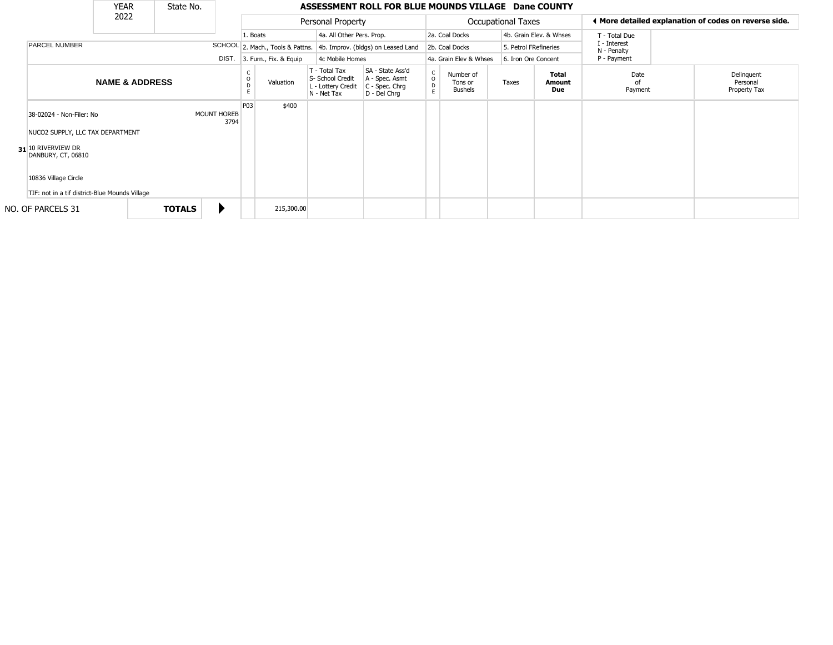|                                                                                                                                                                                    | <b>YEAR</b>               | State No.     |             |             |                        |                                                                        | ASSESSMENT ROLL FOR BLUE MOUNDS VILLAGE Dane COUNTY                    |                                    |                                        |                    |                         |                             |                                                       |
|------------------------------------------------------------------------------------------------------------------------------------------------------------------------------------|---------------------------|---------------|-------------|-------------|------------------------|------------------------------------------------------------------------|------------------------------------------------------------------------|------------------------------------|----------------------------------------|--------------------|-------------------------|-----------------------------|-------------------------------------------------------|
|                                                                                                                                                                                    | 2022                      |               |             |             |                        | Personal Property                                                      |                                                                        |                                    |                                        | Occupational Taxes |                         |                             | ◀ More detailed explanation of codes on reverse side. |
|                                                                                                                                                                                    |                           |               |             |             | 1. Boats               | 4a. All Other Pers. Prop.                                              |                                                                        |                                    | 2a. Coal Docks                         |                    | 4b. Grain Elev. & Whses | T - Total Due               |                                                       |
| <b>PARCEL NUMBER</b>                                                                                                                                                               |                           |               |             |             |                        |                                                                        | SCHOOL 2. Mach., Tools & Pattns. 4b. Improv. (bldgs) on Leased Land    |                                    | 2b. Coal Docks                         |                    | 5. Petrol FRefineries   | I - Interest<br>N - Penalty |                                                       |
|                                                                                                                                                                                    |                           |               |             | DIST.       | 3. Furn., Fix. & Equip | 4c Mobile Homes                                                        |                                                                        |                                    | 4a. Grain Elev & Whses                 |                    | 6. Iron Ore Concent     | P - Payment                 |                                                       |
|                                                                                                                                                                                    | <b>NAME &amp; ADDRESS</b> |               |             |             | Valuation              | T - Total Tax<br>S- School Credit<br>L - Lottery Credit<br>N - Net Tax | SA - State Ass'd<br>A - Spec. Asmt<br>$C - Spec. Chrg$<br>D - Del Chrg | $\mathsf C$<br>$\overline{0}$<br>E | Number of<br>Tons or<br><b>Bushels</b> | Taxes              | Total<br>Amount<br>Due  | Date<br>nf<br>Payment       | Delinquent<br>Personal<br>Property Tax                |
| 38-02024 - Non-Filer: No<br>NUCO2 SUPPLY, LLC TAX DEPARTMENT<br>31 10 RIVERVIEW DR<br>DANBURY, CT, 06810<br>10836 Village Circle<br>TIF: not in a tif district-Blue Mounds Village |                           |               | MOUNT HOREB | P03<br>3794 | \$400                  |                                                                        |                                                                        |                                    |                                        |                    |                         |                             |                                                       |
| NO. OF PARCELS 31                                                                                                                                                                  |                           | <b>TOTALS</b> |             |             | 215,300.00             |                                                                        |                                                                        |                                    |                                        |                    |                         |                             |                                                       |